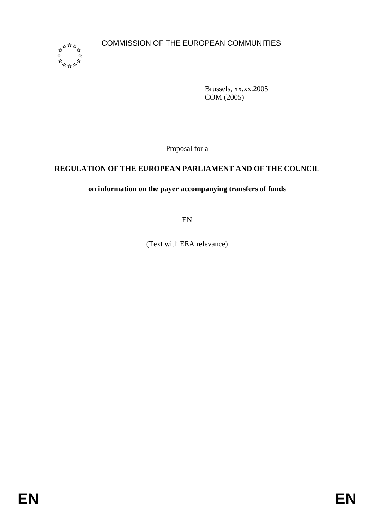

Brussels, xx.xx.2005 COM (2005)

Proposal for a

## **REGULATION OF THE EUROPEAN PARLIAMENT AND OF THE COUNCIL**

## **on information on the payer accompanying transfers of funds**

EN

(Text with EEA relevance)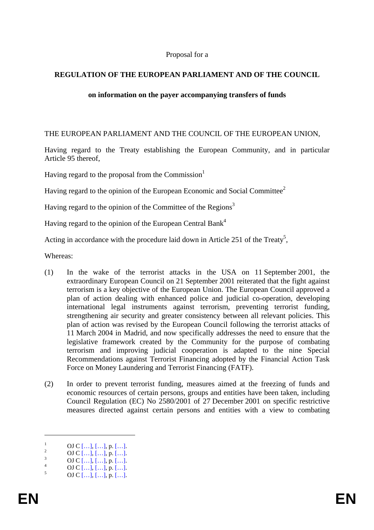#### Proposal for a

#### **REGULATION OF THE EUROPEAN PARLIAMENT AND OF THE COUNCIL**

#### **on information on the payer accompanying transfers of funds**

THE EUROPEAN PARLIAMENT AND THE COUNCIL OF THE EUROPEAN UNION,

Having regard to the Treaty establishing the European Community, and in particular Article 95 thereof,

Having regard to the proposal from the Commission $<sup>1</sup>$ </sup>

Having regard to the opinion of the European Economic and Social Committee<sup>2</sup>

Having regard to the opinion of the Committee of the Regions<sup>3</sup>

Having regard to the opinion of the European Central Bank<sup>4</sup>

Acting in accordance with the procedure laid down in Article 251 of the Treaty<sup>5</sup>,

Whereas:

- (1) In the wake of the terrorist attacks in the USA on 11 September 2001, the extraordinary European Council on 21 September 2001 reiterated that the fight against terrorism is a key objective of the European Union. The European Council approved a plan of action dealing with enhanced police and judicial co-operation, developing international legal instruments against terrorism, preventing terrorist funding, strengthening air security and greater consistency between all relevant policies. This plan of action was revised by the European Council following the terrorist attacks of 11 March 2004 in Madrid, and now specifically addresses the need to ensure that the legislative framework created by the Community for the purpose of combating terrorism and improving judicial cooperation is adapted to the nine Special Recommendations against Terrorist Financing adopted by the Financial Action Task Force on Money Laundering and Terrorist Financing (FATF).
- (2) In order to prevent terrorist funding, measures aimed at the freezing of funds and economic resources of certain persons, groups and entities have been taken, including Council Regulation (EC) No 2580/2001 of 27 December 2001 on specific restrictive measures directed against certain persons and entities with a view to combating

1

<sup>1</sup>  $\frac{1}{2}$  OJ C [...], [...], p. [...]

 $^{2}$  OJ C [...], [...], p. [...]

 $\frac{3}{4}$  OJ C […], […], p. […].

 $^{4}$  OJ C [...], [...], p. [...]. OJ C  $[...]$ ,  $[...]$ , p.  $[...]$ .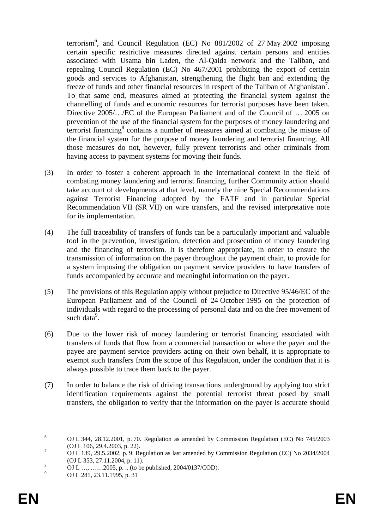terrorism<sup>6</sup>, and Council Regulation (EC) No  $881/2002$  of 27 May 2002 imposing certain specific restrictive measures directed against certain persons and entities associated with Usama bin Laden, the Al-Qaida network and the Taliban, and repealing Council Regulation (EC) No 467/2001 prohibiting the export of certain goods and services to Afghanistan, strengthening the flight ban and extending the freeze of funds and other financial resources in respect of the Taliban of Afghanistan<sup>7</sup>. To that same end, measures aimed at protecting the financial system against the channelling of funds and economic resources for terrorist purposes have been taken. Directive 2005/…/EC of the European Parliament and of the Council of … 2005 on prevention of the use of the financial system for the purposes of money laundering and terrorist financing<sup>8</sup> contains a number of measures aimed at combating the misuse of the financial system for the purpose of money laundering and terrorist financing. All those measures do not, however, fully prevent terrorists and other criminals from having access to payment systems for moving their funds.

- (3) In order to foster a coherent approach in the international context in the field of combating money laundering and terrorist financing, further Community action should take account of developments at that level, namely the nine Special Recommendations against Terrorist Financing adopted by the FATF and in particular Special Recommendation VII (SR VII) on wire transfers, and the revised interpretative note for its implementation.
- (4) The full traceability of transfers of funds can be a particularly important and valuable tool in the prevention, investigation, detection and prosecution of money laundering and the financing of terrorism. It is therefore appropriate, in order to ensure the transmission of information on the payer throughout the payment chain, to provide for a system imposing the obligation on payment service providers to have transfers of funds accompanied by accurate and meaningful information on the payer.
- (5) The provisions of this Regulation apply without prejudice to Directive 95/46/EC of the European Parliament and of the Council of 24 October 1995 on the protection of individuals with regard to the processing of personal data and on the free movement of such data<sup>9</sup>.
- (6) Due to the lower risk of money laundering or terrorist financing associated with transfers of funds that flow from a commercial transaction or where the payer and the payee are payment service providers acting on their own behalf, it is appropriate to exempt such transfers from the scope of this Regulation, under the condition that it is always possible to trace them back to the payer.
- (7) In order to balance the risk of driving transactions underground by applying too strict identification requirements against the potential terrorist threat posed by small transfers, the obligation to verify that the information on the payer is accurate should

<u>.</u>

<sup>6</sup> OJ L 344, 28.12.2001, p. 70. Regulation as amended by Commission Regulation (EC) No 745/2003 (OJ L 106, 29.4.2003, p. 22).

OJ L 139, 29.5.2002, p. 9. Regulation as last amended by Commission Regulation (EC) No 2034/2004 (OJ L 353, 27.11.2004, p. 11).

OJ L …, ……2005, p. .. (to be published, 2004/0137/COD).

<sup>9</sup> OJ L 281, 23.11.1995, p. 31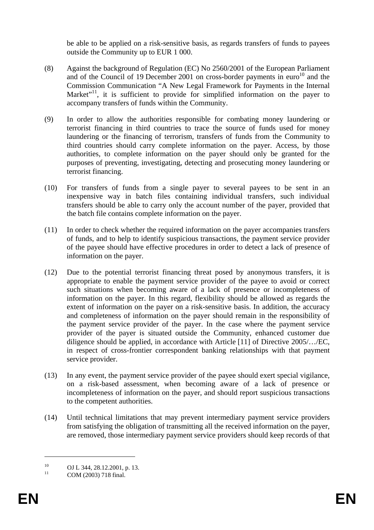be able to be applied on a risk-sensitive basis, as regards transfers of funds to payees outside the Community up to EUR 1 000.

- (8) Against the background of Regulation (EC) No 2560/2001 of the European Parliament and of the Council of 19 December 2001 on cross-border payments in euro<sup>10</sup> and the Commission Communication "A New Legal Framework for Payments in the Internal Market"<sup>11</sup>, it is sufficient to provide for simplified information on the payer to accompany transfers of funds within the Community.
- (9) In order to allow the authorities responsible for combating money laundering or terrorist financing in third countries to trace the source of funds used for money laundering or the financing of terrorism, transfers of funds from the Community to third countries should carry complete information on the payer. Access, by those authorities, to complete information on the payer should only be granted for the purposes of preventing, investigating, detecting and prosecuting money laundering or terrorist financing.
- (10) For transfers of funds from a single payer to several payees to be sent in an inexpensive way in batch files containing individual transfers, such individual transfers should be able to carry only the account number of the payer, provided that the batch file contains complete information on the payer.
- (11) In order to check whether the required information on the payer accompanies transfers of funds, and to help to identify suspicious transactions, the payment service provider of the payee should have effective procedures in order to detect a lack of presence of information on the payer.
- (12) Due to the potential terrorist financing threat posed by anonymous transfers, it is appropriate to enable the payment service provider of the payee to avoid or correct such situations when becoming aware of a lack of presence or incompleteness of information on the payer. In this regard, flexibility should be allowed as regards the extent of information on the payer on a risk-sensitive basis. In addition, the accuracy and completeness of information on the payer should remain in the responsibility of the payment service provider of the payer. In the case where the payment service provider of the payer is situated outside the Community, enhanced customer due diligence should be applied, in accordance with Article [11] of Directive 2005/…/EC, in respect of cross-frontier correspondent banking relationships with that payment service provider.
- (13) In any event, the payment service provider of the payee should exert special vigilance, on a risk-based assessment, when becoming aware of a lack of presence or incompleteness of information on the payer, and should report suspicious transactions to the competent authorities.
- (14) Until technical limitations that may prevent intermediary payment service providers from satisfying the obligation of transmitting all the received information on the payer, are removed, those intermediary payment service providers should keep records of that

1

<sup>&</sup>lt;sup>10</sup> OJ L 344, 28.12.2001, p. 13.

COM (2003) 718 final.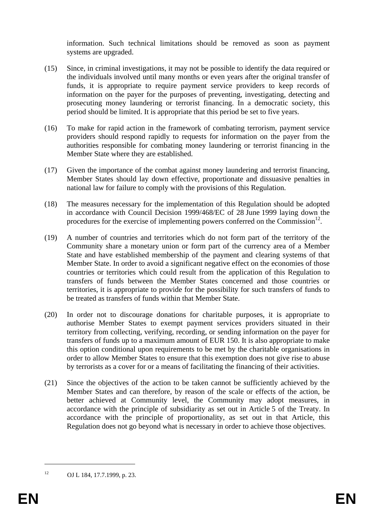information. Such technical limitations should be removed as soon as payment systems are upgraded.

- (15) Since, in criminal investigations, it may not be possible to identify the data required or the individuals involved until many months or even years after the original transfer of funds, it is appropriate to require payment service providers to keep records of information on the payer for the purposes of preventing, investigating, detecting and prosecuting money laundering or terrorist financing. In a democratic society, this period should be limited. It is appropriate that this period be set to five years.
- (16) To make for rapid action in the framework of combating terrorism, payment service providers should respond rapidly to requests for information on the payer from the authorities responsible for combating money laundering or terrorist financing in the Member State where they are established.
- (17) Given the importance of the combat against money laundering and terrorist financing, Member States should lay down effective, proportionate and dissuasive penalties in national law for failure to comply with the provisions of this Regulation.
- (18) The measures necessary for the implementation of this Regulation should be adopted in accordance with Council Decision 1999/468/EC of 28 June 1999 laying down the procedures for the exercise of implementing powers conferred on the Commission<sup>12</sup>.
- (19) A number of countries and territories which do not form part of the territory of the Community share a monetary union or form part of the currency area of a Member State and have established membership of the payment and clearing systems of that Member State. In order to avoid a significant negative effect on the economies of those countries or territories which could result from the application of this Regulation to transfers of funds between the Member States concerned and those countries or territories, it is appropriate to provide for the possibility for such transfers of funds to be treated as transfers of funds within that Member State.
- (20) In order not to discourage donations for charitable purposes, it is appropriate to authorise Member States to exempt payment services providers situated in their territory from collecting, verifying, recording, or sending information on the payer for transfers of funds up to a maximum amount of EUR 150. It is also appropriate to make this option conditional upon requirements to be met by the charitable organisations in order to allow Member States to ensure that this exemption does not give rise to abuse by terrorists as a cover for or a means of facilitating the financing of their activities.
- (21) Since the objectives of the action to be taken cannot be sufficiently achieved by the Member States and can therefore, by reason of the scale or effects of the action, be better achieved at Community level, the Community may adopt measures, in accordance with the principle of subsidiarity as set out in Article 5 of the Treaty. In accordance with the principle of proportionality, as set out in that Article, this Regulation does not go beyond what is necessary in order to achieve those objectives.

1

<sup>12</sup> OJ L 184, 17.7.1999, p. 23.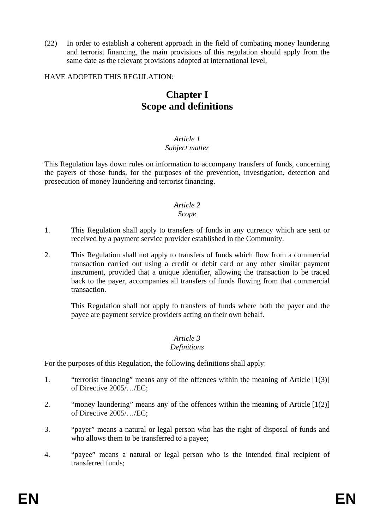(22) In order to establish a coherent approach in the field of combating money laundering and terrorist financing, the main provisions of this regulation should apply from the same date as the relevant provisions adopted at international level,

#### HAVE ADOPTED THIS REGULATION:

# **Chapter I Scope and definitions**

#### *Article 1 Subject matter*

This Regulation lays down rules on information to accompany transfers of funds, concerning the payers of those funds, for the purposes of the prevention, investigation, detection and prosecution of money laundering and terrorist financing.

# *Article 2*

#### *Scope*

- 1. This Regulation shall apply to transfers of funds in any currency which are sent or received by a payment service provider established in the Community.
- 2. This Regulation shall not apply to transfers of funds which flow from a commercial transaction carried out using a credit or debit card or any other similar payment instrument, provided that a unique identifier, allowing the transaction to be traced back to the payer, accompanies all transfers of funds flowing from that commercial transaction.

This Regulation shall not apply to transfers of funds where both the payer and the payee are payment service providers acting on their own behalf.

#### *Article 3 Definitions*

For the purposes of this Regulation, the following definitions shall apply:

- 1. "terrorist financing" means any of the offences within the meaning of Article [1(3)] of Directive 2005/…/EC;
- 2. "money laundering" means any of the offences within the meaning of Article [1(2)] of Directive 2005/…/EC;
- 3. "payer" means a natural or legal person who has the right of disposal of funds and who allows them to be transferred to a payee;
- 4. "payee" means a natural or legal person who is the intended final recipient of transferred funds;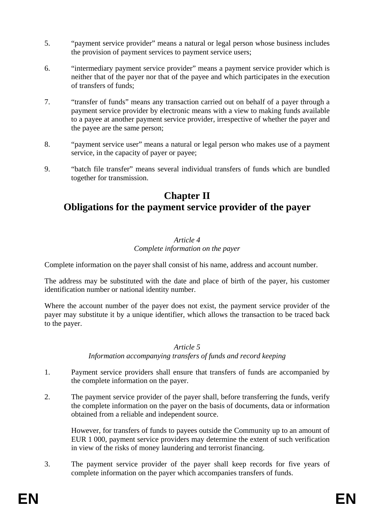- 5. "payment service provider" means a natural or legal person whose business includes the provision of payment services to payment service users;
- 6. "intermediary payment service provider" means a payment service provider which is neither that of the payer nor that of the payee and which participates in the execution of transfers of funds;
- 7. "transfer of funds" means any transaction carried out on behalf of a payer through a payment service provider by electronic means with a view to making funds available to a payee at another payment service provider, irrespective of whether the payer and the payee are the same person;
- 8. "payment service user" means a natural or legal person who makes use of a payment service, in the capacity of payer or payee;
- 9. "batch file transfer" means several individual transfers of funds which are bundled together for transmission.

# **Chapter II Obligations for the payment service provider of the payer**

#### *Article 4 Complete information on the payer*

Complete information on the payer shall consist of his name, address and account number.

The address may be substituted with the date and place of birth of the payer, his customer identification number or national identity number.

Where the account number of the payer does not exist, the payment service provider of the payer may substitute it by a unique identifier, which allows the transaction to be traced back to the payer.

## *Article 5*

*Information accompanying transfers of funds and record keeping* 

- 1. Payment service providers shall ensure that transfers of funds are accompanied by the complete information on the payer.
- 2. The payment service provider of the payer shall, before transferring the funds, verify the complete information on the payer on the basis of documents, data or information obtained from a reliable and independent source.

However, for transfers of funds to payees outside the Community up to an amount of EUR 1 000, payment service providers may determine the extent of such verification in view of the risks of money laundering and terrorist financing.

3. The payment service provider of the payer shall keep records for five years of complete information on the payer which accompanies transfers of funds.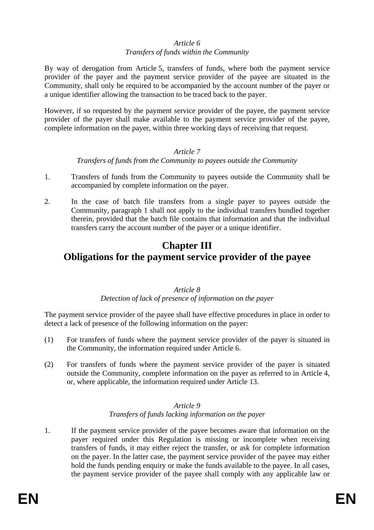# *Article 6*

## *Transfers of funds within the Community*

By way of derogation from Article 5, transfers of funds, where both the payment service provider of the payer and the payment service provider of the payee are situated in the Community, shall only be required to be accompanied by the account number of the payer or a unique identifier allowing the transaction to be traced back to the payer.

However, if so requested by the payment service provider of the payee, the payment service provider of the payer shall make available to the payment service provider of the payee, complete information on the payer, within three working days of receiving that request.

## *Article 7*

# *Transfers of funds from the Community to payees outside the Community*

- 1. Transfers of funds from the Community to payees outside the Community shall be accompanied by complete information on the payer.
- 2. In the case of batch file transfers from a single payer to payees outside the Community, paragraph 1 shall not apply to the individual transfers bundled together therein, provided that the batch file contains that information and that the individual transfers carry the account number of the payer or a unique identifier.

# **Chapter III**

# **Obligations for the payment service provider of the payee**

# *Article 8*

# *Detection of lack of presence of information on the payer*

The payment service provider of the payee shall have effective procedures in place in order to detect a lack of presence of the following information on the payer:

- (1) For transfers of funds where the payment service provider of the payer is situated in the Community, the information required under Article 6.
- (2) For transfers of funds where the payment service provider of the payer is situated outside the Community, complete information on the payer as referred to in Article 4, or, where applicable, the information required under Article 13.

#### *Article 9 Transfers of funds lacking information on the payer*

1. If the payment service provider of the payee becomes aware that information on the payer required under this Regulation is missing or incomplete when receiving transfers of funds, it may either reject the transfer, or ask for complete information on the payer. In the latter case, the payment service provider of the payee may either hold the funds pending enquiry or make the funds available to the payee. In all cases, the payment service provider of the payee shall comply with any applicable law or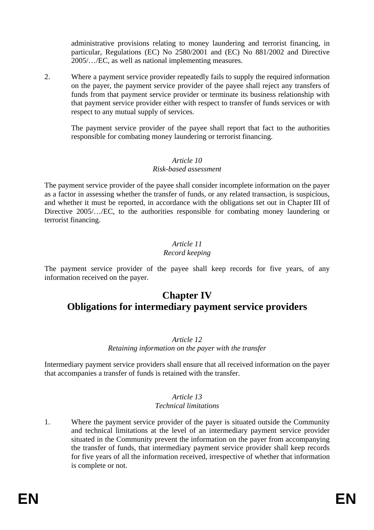administrative provisions relating to money laundering and terrorist financing, in particular, Regulations (EC) No 2580/2001 and (EC) No 881/2002 and Directive 2005/…/EC, as well as national implementing measures.

2. Where a payment service provider repeatedly fails to supply the required information on the payer, the payment service provider of the payee shall reject any transfers of funds from that payment service provider or terminate its business relationship with that payment service provider either with respect to transfer of funds services or with respect to any mutual supply of services.

The payment service provider of the payee shall report that fact to the authorities responsible for combating money laundering or terrorist financing.

## *Article 10*

## *Risk-based assessment*

The payment service provider of the payee shall consider incomplete information on the payer as a factor in assessing whether the transfer of funds, or any related transaction, is suspicious, and whether it must be reported, in accordance with the obligations set out in Chapter III of Directive 2005/…/EC, to the authorities responsible for combating money laundering or terrorist financing.

#### *Article 11 Record keeping*

The payment service provider of the payee shall keep records for five years, of any information received on the payer.

# **Chapter IV Obligations for intermediary payment service providers**

## *Article 12*

*Retaining information on the payer with the transfer* 

Intermediary payment service providers shall ensure that all received information on the payer that accompanies a transfer of funds is retained with the transfer.

#### *Article 13 Technical limitations*

1. Where the payment service provider of the payer is situated outside the Community and technical limitations at the level of an intermediary payment service provider situated in the Community prevent the information on the payer from accompanying the transfer of funds, that intermediary payment service provider shall keep records for five years of all the information received, irrespective of whether that information is complete or not.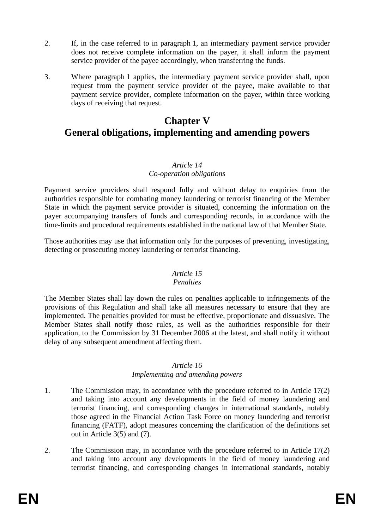- 2. If, in the case referred to in paragraph 1, an intermediary payment service provider does not receive complete information on the payer, it shall inform the payment service provider of the payee accordingly, when transferring the funds.
- 3. Where paragraph 1 applies, the intermediary payment service provider shall, upon request from the payment service provider of the payee, make available to that payment service provider, complete information on the payer, within three working days of receiving that request.

# **Chapter V General obligations, implementing and amending powers**

#### *Article 14 Co-operation obligations*

Payment service providers shall respond fully and without delay to enquiries from the authorities responsible for combating money laundering or terrorist financing of the Member State in which the payment service provider is situated, concerning the information on the payer accompanying transfers of funds and corresponding records, in accordance with the time-limits and procedural requirements established in the national law of that Member State.

Those authorities may use that **i**nformation only for the purposes of preventing, investigating, detecting or prosecuting money laundering or terrorist financing.

## *Article 15*

## *Penalties*

The Member States shall lay down the rules on penalties applicable to infringements of the provisions of this Regulation and shall take all measures necessary to ensure that they are implemented. The penalties provided for must be effective, proportionate and dissuasive. The Member States shall notify those rules, as well as the authorities responsible for their application, to the Commission by 31 December 2006 at the latest, and shall notify it without delay of any subsequent amendment affecting them.

#### *Article 16*

## *Implementing and amending powers*

- 1. The Commission may, in accordance with the procedure referred to in Article 17(2) and taking into account any developments in the field of money laundering and terrorist financing, and corresponding changes in international standards, notably those agreed in the Financial Action Task Force on money laundering and terrorist financing (FATF), adopt measures concerning the clarification of the definitions set out in Article 3(5) and (7).
- 2. The Commission may, in accordance with the procedure referred to in Article 17(2) and taking into account any developments in the field of money laundering and terrorist financing, and corresponding changes in international standards, notably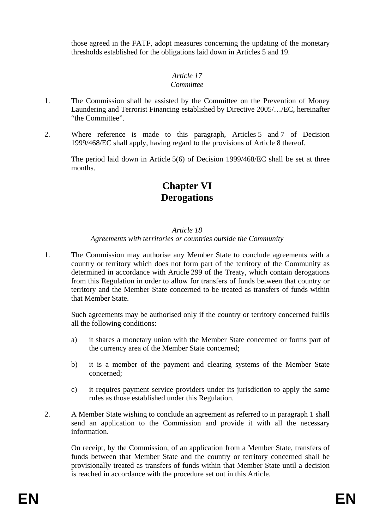those agreed in the FATF, adopt measures concerning the updating of the monetary thresholds established for the obligations laid down in Articles 5 and 19.

#### *Article 17 Committee*

- 1. The Commission shall be assisted by the Committee on the Prevention of Money Laundering and Terrorist Financing established by Directive 2005/…/EC, hereinafter "the Committee".
- 2. Where reference is made to this paragraph, Articles 5 and 7 of Decision 1999/468/EC shall apply, having regard to the provisions of Article 8 thereof.

The period laid down in Article 5(6) of Decision 1999/468/EC shall be set at three months.

# **Chapter VI Derogations**

#### *Article 18*

#### *Agreements with territories or countries outside the Community*

1. The Commission may authorise any Member State to conclude agreements with a country or territory which does not form part of the territory of the Community as determined in accordance with Article 299 of the Treaty, which contain derogations from this Regulation in order to allow for transfers of funds between that country or territory and the Member State concerned to be treated as transfers of funds within that Member State.

Such agreements may be authorised only if the country or territory concerned fulfils all the following conditions:

- a) it shares a monetary union with the Member State concerned or forms part of the currency area of the Member State concerned;
- b) it is a member of the payment and clearing systems of the Member State concerned;
- c) it requires payment service providers under its jurisdiction to apply the same rules as those established under this Regulation.
- 2. A Member State wishing to conclude an agreement as referred to in paragraph 1 shall send an application to the Commission and provide it with all the necessary information.

On receipt, by the Commission, of an application from a Member State, transfers of funds between that Member State and the country or territory concerned shall be provisionally treated as transfers of funds within that Member State until a decision is reached in accordance with the procedure set out in this Article.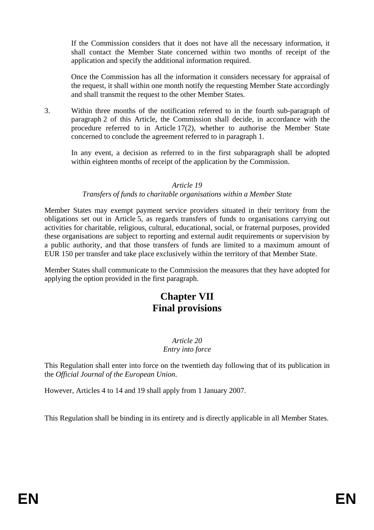If the Commission considers that it does not have all the necessary information, it shall contact the Member State concerned within two months of receipt of the application and specify the additional information required.

Once the Commission has all the information it considers necessary for appraisal of the request, it shall within one month notify the requesting Member State accordingly and shall transmit the request to the other Member States.

3. Within three months of the notification referred to in the fourth sub-paragraph of paragraph 2 of this Article, the Commission shall decide, in accordance with the procedure referred to in Article 17(2), whether to authorise the Member State concerned to conclude the agreement referred to in paragraph 1.

In any event, a decision as referred to in the first subparagraph shall be adopted within eighteen months of receipt of the application by the Commission.

#### *Article 19*

#### *Transfers of funds to charitable organisations within a Member State*

Member States may exempt payment service providers situated in their territory from the obligations set out in Article 5, as regards transfers of funds to organisations carrying out activities for charitable, religious, cultural, educational, social, or fraternal purposes, provided these organisations are subject to reporting and external audit requirements or supervision by a public authority, and that those transfers of funds are limited to a maximum amount of EUR 150 per transfer and take place exclusively within the territory of that Member State.

Member States shall communicate to the Commission the measures that they have adopted for applying the option provided in the first paragraph.

# **Chapter VII Final provisions**

#### *Article 20 Entry into force*

This Regulation shall enter into force on the twentieth day following that of its publication in the *Official Journal of the European Union*.

However, Articles 4 to 14 and 19 shall apply from 1 January 2007.

This Regulation shall be binding in its entirety and is directly applicable in all Member States.